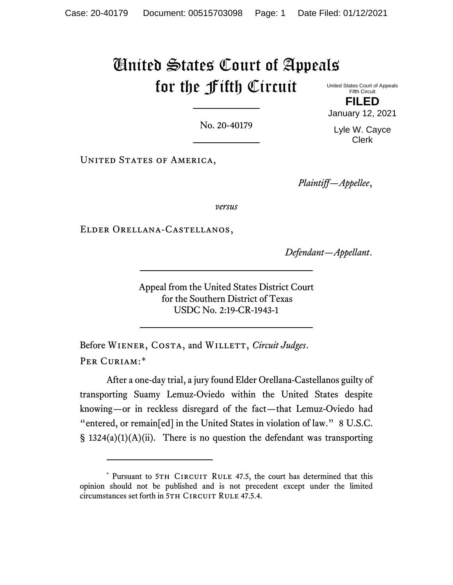## United States Court of Appeals for the Fifth Circuit

United States Court of Appeals Fifth Circuit **FILED**

January 12, 2021

Lyle W. Cayce Clerk

No. 20-40179

UNITED STATES OF AMERICA,

*Plaintiff—Appellee*,

*versus*

Elder Orellana-Castellanos,

*Defendant—Appellant*.

Appeal from the United States District Court for the Southern District of Texas USDC No. 2:19-CR-1943-1

Before WIENER, COSTA, and WILLETT, *Circuit Judges*. PER CURIAM:[\\*](#page-0-0)

After a one-day trial, a jury found Elder Orellana-Castellanos guilty of transporting Suamy Lemuz-Oviedo within the United States despite knowing—or in reckless disregard of the fact—that Lemuz-Oviedo had "entered, or remain[ed] in the United States in violation of law." 8 U.S.C. § 1324(a)(1)(A)(ii). There is no question the defendant was transporting

<span id="page-0-0"></span><sup>\*</sup> Pursuant to 5TH CIRCUIT RULE 47.5, the court has determined that this opinion should not be published and is not precedent except under the limited circumstances set forth in 5TH CIRCUIT RULE 47.5.4.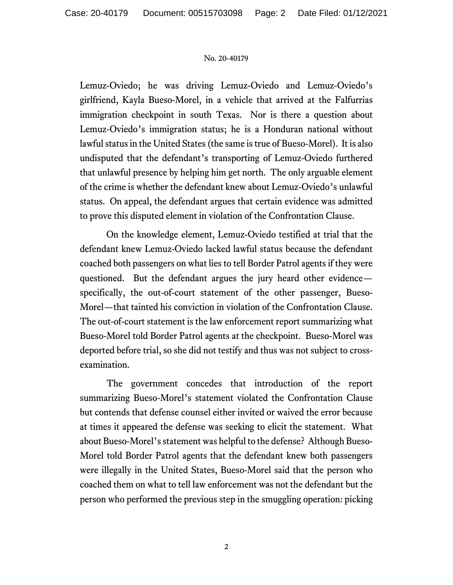Lemuz-Oviedo; he was driving Lemuz-Oviedo and Lemuz-Oviedo's girlfriend, Kayla Bueso-Morel, in a vehicle that arrived at the Falfurrias immigration checkpoint in south Texas. Nor is there a question about Lemuz-Oviedo's immigration status; he is a Honduran national without lawful status in the United States (the same is true of Bueso-Morel). It is also undisputed that the defendant's transporting of Lemuz-Oviedo furthered that unlawful presence by helping him get north. The only arguable element of the crime is whether the defendant knew about Lemuz-Oviedo's unlawful status. On appeal, the defendant argues that certain evidence was admitted to prove this disputed element in violation of the Confrontation Clause.

On the knowledge element, Lemuz-Oviedo testified at trial that the defendant knew Lemuz-Oviedo lacked lawful status because the defendant coached both passengers on what lies to tell Border Patrol agents if they were questioned. But the defendant argues the jury heard other evidence specifically, the out-of-court statement of the other passenger, Bueso-Morel—that tainted his conviction in violation of the Confrontation Clause. The out-of-court statement is the law enforcement report summarizing what Bueso-Morel told Border Patrol agents at the checkpoint. Bueso-Morel was deported before trial, so she did not testify and thus was not subject to crossexamination.

The government concedes that introduction of the report summarizing Bueso-Morel's statement violated the Confrontation Clause but contends that defense counsel either invited or waived the error because at times it appeared the defense was seeking to elicit the statement. What about Bueso-Morel's statement was helpful to the defense? Although Bueso-Morel told Border Patrol agents that the defendant knew both passengers were illegally in the United States, Bueso-Morel said that the person who coached them on what to tell law enforcement was not the defendant but the person who performed the previous step in the smuggling operation: picking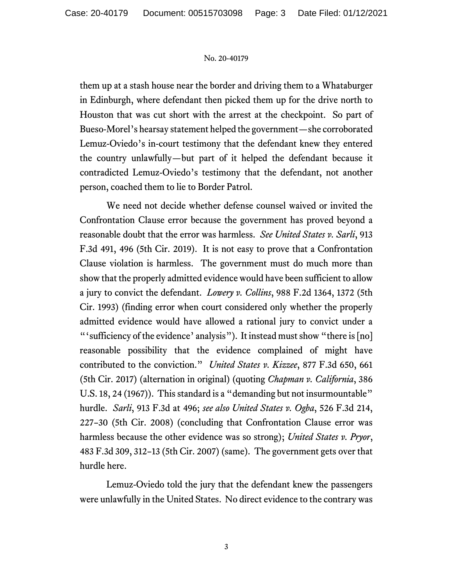them up at a stash house near the border and driving them to a Whataburger in Edinburgh, where defendant then picked them up for the drive north to Houston that was cut short with the arrest at the checkpoint. So part of Bueso-Morel's hearsay statement helped the government—she corroborated Lemuz-Oviedo's in-court testimony that the defendant knew they entered the country unlawfully—but part of it helped the defendant because it contradicted Lemuz-Oviedo's testimony that the defendant, not another person, coached them to lie to Border Patrol.

We need not decide whether defense counsel waived or invited the Confrontation Clause error because the government has proved beyond a reasonable doubt that the error was harmless. *See United States v. Sarli*, 913 F.3d 491, 496 (5th Cir. 2019). It is not easy to prove that a Confrontation Clause violation is harmless. The government must do much more than show that the properly admitted evidence would have been sufficient to allow a jury to convict the defendant. *Lowery v. Collins*, 988 F.2d 1364, 1372 (5th Cir. 1993) (finding error when court considered only whether the properly admitted evidence would have allowed a rational jury to convict under a "'sufficiency of the evidence' analysis"). It instead must show "there is [no] reasonable possibility that the evidence complained of might have contributed to the conviction." *United States v. Kizzee*, 877 F.3d 650, 661 (5th Cir. 2017) (alternation in original) (quoting *Chapman v. California*, 386 U.S. 18, 24 (1967)). This standard is a "demanding but not insurmountable" hurdle. *Sarli*, 913 F.3d at 496; *see also United States v. Ogba*, 526 F.3d 214, 227–30 (5th Cir. 2008) (concluding that Confrontation Clause error was harmless because the other evidence was so strong); *United States v. Pryor*, 483 F.3d 309, 312–13 (5th Cir. 2007) (same). The government gets over that hurdle here.

Lemuz-Oviedo told the jury that the defendant knew the passengers were unlawfully in the United States. No direct evidence to the contrary was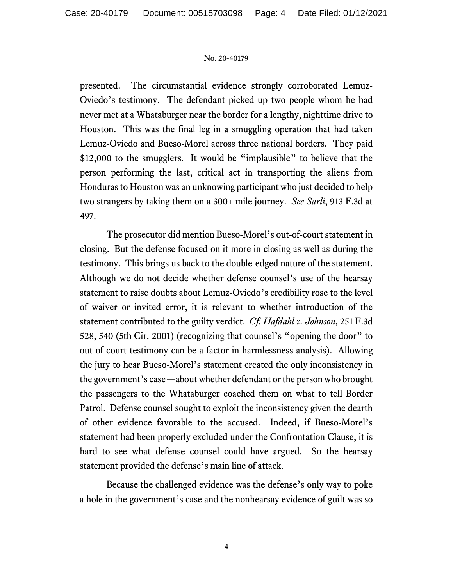presented. The circumstantial evidence strongly corroborated Lemuz-Oviedo's testimony. The defendant picked up two people whom he had never met at a Whataburger near the border for a lengthy, nighttime drive to Houston. This was the final leg in a smuggling operation that had taken Lemuz-Oviedo and Bueso-Morel across three national borders. They paid \$12,000 to the smugglers. It would be "implausible" to believe that the person performing the last, critical act in transporting the aliens from Honduras to Houston was an unknowing participant who just decided to help two strangers by taking them on a 300+ mile journey. *See Sarli*, 913 F.3d at 497.

The prosecutor did mention Bueso-Morel's out-of-court statement in closing. But the defense focused on it more in closing as well as during the testimony. This brings us back to the double-edged nature of the statement. Although we do not decide whether defense counsel's use of the hearsay statement to raise doubts about Lemuz-Oviedo's credibility rose to the level of waiver or invited error, it is relevant to whether introduction of the statement contributed to the guilty verdict. *Cf. Hafdahl v. Johnson*, 251 F.3d 528, 540 (5th Cir. 2001) (recognizing that counsel's "opening the door" to out-of-court testimony can be a factor in harmlessness analysis). Allowing the jury to hear Bueso-Morel's statement created the only inconsistency in the government's case—about whether defendant or the person who brought the passengers to the Whataburger coached them on what to tell Border Patrol. Defense counsel sought to exploit the inconsistency given the dearth of other evidence favorable to the accused. Indeed, if Bueso-Morel's statement had been properly excluded under the Confrontation Clause, it is hard to see what defense counsel could have argued. So the hearsay statement provided the defense's main line of attack.

Because the challenged evidence was the defense's only way to poke a hole in the government's case and the nonhearsay evidence of guilt was so